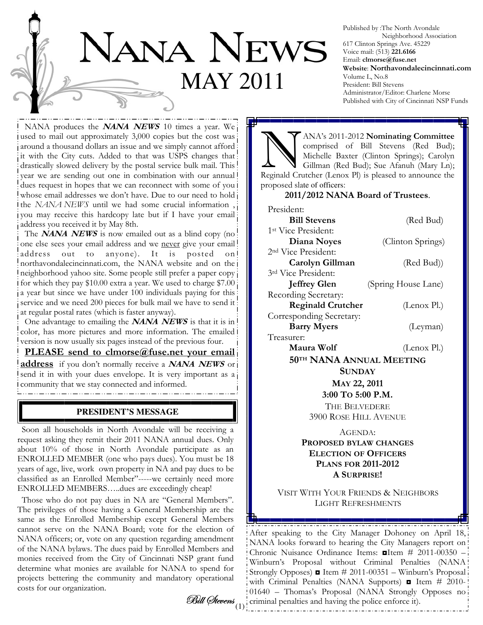

Published by :The North Avondale Neighborhood Association 617 Clinton Springs Ave. 45229 Voice mail: (513) 221.6166 Email: clmorse@fuse.net Website: Northavondalecincinnati.com Volume L, No.8 President: Bill Stevens Administrator/Editor: Charlene Morse Published with City of Cincinnati NSP Funds

NANA produces the **NANA NEWS** 10 times a year. We used to mail out approximately 3,000 copies but the cost was around a thousand dollars an issue and we simply cannot afford it with the City cuts. Added to that was USPS changes that drastically slowed delivery by the postal service bulk mail. This year we are sending out one in combination with our annual dues request in hopes that we can reconnect with some of you i whose email addresses we don't have. Due to our need to hold i the NANA NEWS until we had some crucial information , you may receive this hardcopy late but if I have your email address you received it by May 8th.

The **NANA NEWS** is now emailed out as a blind copy (no one else sees your email address and we never give your email! address out to anyone). It is posted on northavondalecincinnati.com, the NANA website and on the neighborhood yahoo site. Some people still prefer a paper copy for which they pay \$10.00 extra a year. We used to charge \$7.00 a year but since we have under 100 individuals paying for this service and we need 200 pieces for bulk mail we have to send it at regular postal rates (which is faster anyway).

One advantage to emailing the **NANA NEWS** is that it is in color, has more pictures and more information. The emailed version is now usually six pages instead of the previous four.

PLEASE send to clmorse@fuse.net your email address if you don't normally receive a NANA NEWS or send it in with your dues envelope. It is very important as a community that we stay connected and informed.

## **PRESIDENT'S MESSAGE**

 Soon all households in North Avondale will be receiving a request asking they remit their 2011 NANA annual dues. Only about 10% of those in North Avondale participate as an ENROLLED MEMBER (one who pays dues). You must be 18 years of age, live, work own property in NA and pay dues to be classified as an Enrolled Member"-----we certainly need more ENROLLED MEMBERS…..dues are exceedingly cheap!

 Those who do not pay dues in NA are "General Members". The privileges of those having a General Membership are the same as the Enrolled Membership except General Members cannot serve on the NANA Board; vote for the election of NANA officers; or, vote on any question regarding amendment of the NANA bylaws. The dues paid by Enrolled Members and monies received from the City of Cincinnati NSP grant fund determine what monies are available for NANA to spend for projects bettering the community and mandatory operational costs for our organization.

Bill Øtevens $\frac{1}{(1)}$ 

ANA's 2011-2012 Nominating Committee<br>
comprised of Bill Stevens (Red Bud);<br>
Michelle Baxter (Clinton Springs); Carolyn<br>
Gillman (Red Bud): Sue Afanuh (Mary Ln); comprised of Bill Stevens (Red Bud); Michelle Baxter (Clinton Springs); Carolyn Gillman (Red Bud); Sue Afanuh (Mary Ln); Reginald Crutcher (Lenox Pl) is pleased to announce the proposed slate of officers:

### 2011/2012 NANA Board of Trustees.

| President:                      |                             |  |
|---------------------------------|-----------------------------|--|
| <b>Bill Stevens</b>             | (Red Bud)                   |  |
| 1 <sup>st</sup> Vice President: |                             |  |
| Diana Noyes                     | (Clinton Springs)           |  |
| 2 <sup>nd</sup> Vice President: |                             |  |
| Carolyn Gillman                 | (Red Bud))                  |  |
| 3rd Vice President:             |                             |  |
| <b>Jeffrey Glen</b>             | (Spring House Lane)         |  |
| Recording Secretary:            |                             |  |
| <b>Reginald Crutcher</b>        | (Lenox Pl.)                 |  |
| Corresponding Secretary:        |                             |  |
| <b>Barry Myers</b>              | (Leyman)                    |  |
| Treasurer:                      |                             |  |
| 16 W 10                         | $\mathbf{D1}$<br>$\sqrt{1}$ |  |

Maura Wolf (Lenox Pl.) 50TH NANA ANNUAL MEETING

> **SUNDAY** MAY 22, 2011 3:00 TO 5:00 P.M. THE BELVEDERE 3900 ROSE HILL AVENUE

AGENDA: PROPOSED BYLAW CHANGES ELECTION OF OFFICERS PLANS FOR 2011-2012 A SURPRISE!

VISIT WITH YOUR FRIENDS & NEIGHBORS LIGHT REFRESHMENTS

After speaking to the City Manager Dohoney on April 18, NANA looks forward to hearing the City Managers report on Chronic Nuisance Ordinance Items: ◘Item # 2011-00350 – Winburn's Proposal without Criminal Penalties (NANA Strongly Opposes) ◘ Item # 2011-00351 – Winburn's Proposal with Criminal Penalties (NANA Supports) **I** Item # 2010-01640 – Thomas's Proposal (NANA Strongly Opposes no: criminal penalties and having the police enforce it).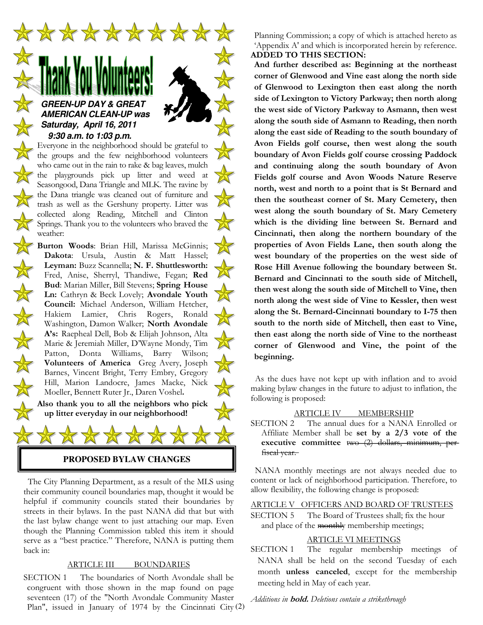

who came out in the rain to rake & bag leaves, mulch the playgrounds pick up litter and weed at Seasongood, Dana Triangle and MLK. The ravine by the Dana triangle was cleaned out of furniture and trash as well as the Gershuny property. Litter was collected along Reading, Mitchell and Clinton Springs. Thank you to the volunteers who braved the weather:

Burton Woods: Brian Hill, Marissa McGinnis; Dakota: Ursula, Austin & Matt Hassel; Leyman: Buzz Scannella; N. F. Shuttlesworth: Fred, Anise, Sherryl, Thandiwe, Fegan; Red Bud: Marian Miller, Bill Stevens; Spring House Ln: Cathryn & Beck Lovely; Avondale Youth Council: Michael Anderson, William Hetcher, Hakiem Lamier, Chris Rogers, Ronald Washington, Damon Walker; North Avondale A's: Raepheal Dell, Bob & Elijah Johnson, Alta Marie & Jeremiah Miller, D'Wayne Mondy, Tim Patton, Donta Williams, Barry Wilson; Volunteers of America Greg Avery, Joseph Barnes, Vincent Bright, Terry Embry, Gregory Hill, Marion Landocre, James Macke, Nick Moeller, Bennett Ruter Jr., Daren Voshel.

医外科学

Also thank you to all the neighbors who pick up litter everyday in our neighborhood!



 The City Planning Department, as a result of the MLS using their community council boundaries map, thought it would be helpful if community councils stated their boundaries by streets in their bylaws. In the past NANA did that but with the last bylaw change went to just attaching our map. Even though the Planning Commission tabled this item it should serve as a "best practice." Therefore, NANA is putting them back in:

### ARTICLE III BOUNDARIES

Plan", issued in January of 1974 by the Cincinnati City (2) SECTION 1 The boundaries of North Avondale shall be congruent with those shown in the map found on page seventeen (17) of the "North Avondale Community Master

Planning Commission; a copy of which is attached hereto as 'Appendix A' and which is incorporated herein by reference. ADDED TO THIS SECTION:

And further described as: Beginning at the northeast corner of Glenwood and Vine east along the north side of Glenwood to Lexington then east along the north side of Lexington to Victory Parkway; then north along the west side of Victory Parkway to Asmann, then west along the south side of Asmann to Reading, then north along the east side of Reading to the south boundary of Avon Fields golf course, then west along the south boundary of Avon Fields golf course crossing Paddock and continuing along the south boundary of Avon Fields golf course and Avon Woods Nature Reserve north, west and north to a point that is St Bernard and then the southeast corner of St. Mary Cemetery, then west along the south boundary of St. Mary Cemetery which is the dividing line between St. Bernard and Cincinnati, then along the northern boundary of the properties of Avon Fields Lane, then south along the west boundary of the properties on the west side of Rose Hill Avenue following the boundary between St. Bernard and Cincinnati to the south side of Mitchell, then west along the south side of Mitchell to Vine, then north along the west side of Vine to Kessler, then west along the St. Bernard-Cincinnati boundary to I-75 then south to the north side of Mitchell, then east to Vine, then east along the north side of Vine to the northeast corner of Glenwood and Vine, the point of the beginning.

 As the dues have not kept up with inflation and to avoid making bylaw changes in the future to adjust to inflation, the following is proposed:

### ARTICLE IV\_\_\_\_ MEMBERSHIP

SECTION 2 The annual dues for a NANA Enrolled or Affiliate Member shall be set by a 2/3 vote of the executive committee two (2) dollars, minimum, per f<del>iscal year.</del>

 NANA monthly meetings are not always needed due to content or lack of neighborhood participation. Therefore, to allow flexibility, the following change is proposed:

#### ARTICLE V OFFICERS AND BOARD OF TRUSTEES

SECTION 5 The Board of Trustees shall; fix the hour and place of the monthly membership meetings;

#### ARTICLE VI MEETINGS

SECTION 1 The regular membership meetings of NANA shall be held on the second Tuesday of each month unless canceled, except for the membership meeting held in May of each year.

Additions in **bold.** Deletions contain a strikethrough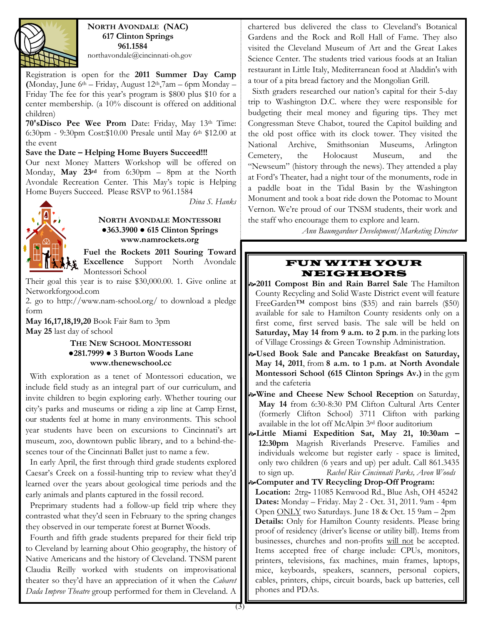

NORTH AVONDALE (NAC) 617 Clinton Springs 961.1584

northavondale@cincinnati-oh.gov

Registration is open for the 2011 Summer Day Camp (Monday, June  $6<sup>th</sup>$  – Friday, August  $12<sup>th</sup>$ , 7am – 6pm Monday – Friday The fee for this year's program is \$800 plus \$10 for a center membership. (a 10% discount is offered on additional children)

70'sDisco Pee Wee Prom Date: Friday, May 13th Time: 6:30pm - 9:30pm Cost:\$10.00 Presale until May 6th \$12.00 at the event

#### Save the Date – Helping Home Buyers Succeed!!!

Our next Money Matters Workshop will be offered on Monday, May 23rd from 6:30pm – 8pm at the North Avondale Recreation Center. This May's topic is Helping Home Buyers Succeed. Please RSVP to 961.1584



### Dina S. Hanks

## NORTH AVONDALE MONTESSORI ●363.3900 ● 615 Clinton Springs www.namrockets.org

Fuel the Rockets 2011 Souring Toward Excellence Support North Avondale Montessori School

Their goal this year is to raise \$30,000.00. 1. Give online at Networkforgood.com

2. go to http://www.nam-school.org/ to download a pledge form

May 16,17,18,19,20 Book Fair 8am to 3pm May 25 last day of school

### THE NEW SCHOOL MONTESSORI  $•281.7999 • 3 Burton Woods Lane$ www.thenewschool.cc

 With exploration as a tenet of Montessori education, we include field study as an integral part of our curriculum, and invite children to begin exploring early. Whether touring our city's parks and museums or riding a zip line at Camp Ernst, our students feel at home in many environments. This school year students have been on excursions to Cincinnati's art museum, zoo, downtown public library, and to a behind-thescenes tour of the Cincinnati Ballet just to name a few.

 In early April, the first through third grade students explored Caesar's Creek on a fossil-hunting trip to review what they'd learned over the years about geological time periods and the early animals and plants captured in the fossil record.

 Preprimary students had a follow-up field trip where they contrasted what they'd seen in February to the spring changes they observed in our temperate forest at Burnet Woods.

 Fourth and fifth grade students prepared for their field trip to Cleveland by learning about Ohio geography, the history of Native Americans and the history of Cleveland. TNSM parent Claudia Reilly worked with students on improvisational theater so they'd have an appreciation of it when the Cabaret Dada Improv Theatre group performed for them in Cleveland. A

chartered bus delivered the class to Cleveland's Botanical Gardens and the Rock and Roll Hall of Fame. They also visited the Cleveland Museum of Art and the Great Lakes Science Center. The students tried various foods at an Italian restaurant in Little Italy, Mediterranean food at Aladdin's with a tour of a pita bread factory and the Mongolian Grill.

 Sixth graders researched our nation's capital for their 5-day trip to Washington D.C. where they were responsible for budgeting their meal money and figuring tips. They met Congressman Steve Chabot, toured the Capitol building and the old post office with its clock tower. They visited the National Archive, Smithsonian Museums, Arlington Cemetery, the Holocaust Museum, and the "Newseum" (history through the news). They attended a play at Ford's Theater, had a night tour of the monuments, rode in a paddle boat in the Tidal Basin by the Washington Monument and took a boat ride down the Potomac to Mount Vernon. We're proud of our TNSM students, their work and the staff who encourage them to explore and learn.

Ann Baumgardner Development/Marketing Director

## FUN WITH YOUR NEIGHBORS

2011 Compost Bin and Rain Barrel Sale The Hamilton County Recycling and Solid Waste District event will feature FreeGarden™ compost bins (\$35) and rain barrels (\$50) available for sale to Hamilton County residents only on a first come, first served basis. The sale will be held on Saturday, May 14 from 9 a.m. to 2 p.m. in the parking lots of Village Crossings & Green Township Administration.

Used Book Sale and Pancake Breakfast on Saturday, May 14, 2011, from 8 a.m. to 1 p.m. at North Avondale Montessori School (615 Clinton Springs Av.) in the gym and the cafeteria

- $\sim$ Wine and Cheese New School Reception on Saturday, May 14 from 6:30-8:30 PM Clifton Cultural Arts Center (formerly Clifton School) 3711 Clifton with parking available in the lot off McAlpin 3rd floor auditorium
- Little Miami Expedition Sat, May 21, 10:30am 12:30pm Magrish Riverlands Preserve. Families and individuals welcome but register early - space is limited, only two children (6 years and up) per adult. Call 861.3435 to sign up. Rachel Rice Cincinnati Parks, Avon Woods
- **Example 2 Computer and TV Recycling Drop-Off Program:** Location: 2trg- 11085 Kenwood Rd., Blue Ash, OH 45242 Dates: Monday – Friday. May 2 - Oct. 31, 2011. 9am - 4pm Open ONLY two Saturdays. June 18 & Oct. 15 9am – 2pm Details: Only for Hamilton County residents. Please bring proof of residency (driver's license or utility bill). Items from businesses, churches and non-profits will not be accepted. Items accepted free of charge include: CPUs, monitors, printers, televisions, fax machines, main frames, laptops, mice, keyboards, speakers, scanners, personal copiers, cables, printers, chips, circuit boards, back up batteries, cell phones and PDAs.